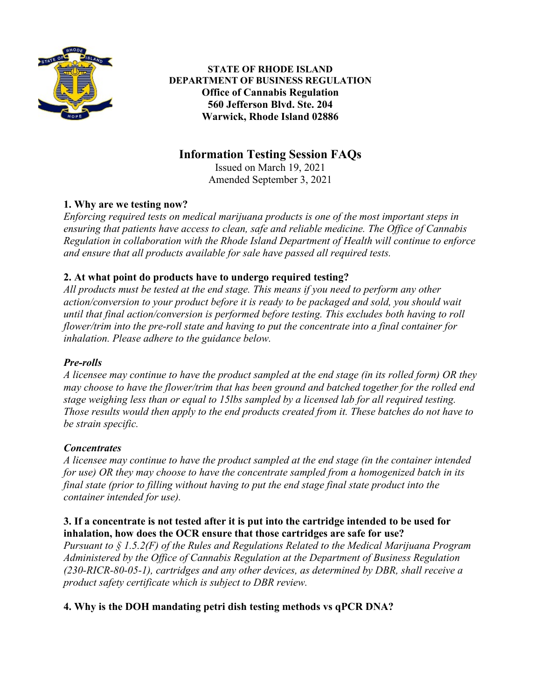

**STATE OF RHODE ISLAND DEPARTMENT OF BUSINESS REGULATION Office of Cannabis Regulation 560 Jefferson Blvd. Ste. 204 Warwick, Rhode Island 02886**

# **Information Testing Session FAQs**

Issued on March 19, 2021 Amended September 3, 2021

# **1. Why are we testing now?**

*Enforcing required tests on medical marijuana products is one of the most important steps in ensuring that patients have access to clean, safe and reliable medicine. The Office of Cannabis Regulation in collaboration with the Rhode Island Department of Health will continue to enforce and ensure that all products available for sale have passed all required tests.* 

# **2. At what point do products have to undergo required testing?**

*All products must be tested at the end stage. This means if you need to perform any other action/conversion to your product before it is ready to be packaged and sold, you should wait until that final action/conversion is performed before testing. This excludes both having to roll flower/trim into the pre-roll state and having to put the concentrate into a final container for inhalation. Please adhere to the guidance below.* 

### *Pre-rolls*

*A licensee may continue to have the product sampled at the end stage (in its rolled form) OR they may choose to have the flower/trim that has been ground and batched together for the rolled end stage weighing less than or equal to 15lbs sampled by a licensed lab for all required testing. Those results would then apply to the end products created from it. These batches do not have to be strain specific.* 

### *Concentrates*

*A licensee may continue to have the product sampled at the end stage (in the container intended for use) OR they may choose to have the concentrate sampled from a homogenized batch in its final state (prior to filling without having to put the end stage final state product into the container intended for use).*

#### **3. If a concentrate is not tested after it is put into the cartridge intended to be used for inhalation, how does the OCR ensure that those cartridges are safe for use?**

*Pursuant to § 1.5.2(F) of the Rules and Regulations Related to the Medical Marijuana Program Administered by the Office of Cannabis Regulation at the Department of Business Regulation (230-RICR-80-05-1), cartridges and any other devices, as determined by DBR, shall receive a product safety certificate which is subject to DBR review.*

# **4. Why is the DOH mandating petri dish testing methods vs qPCR DNA?**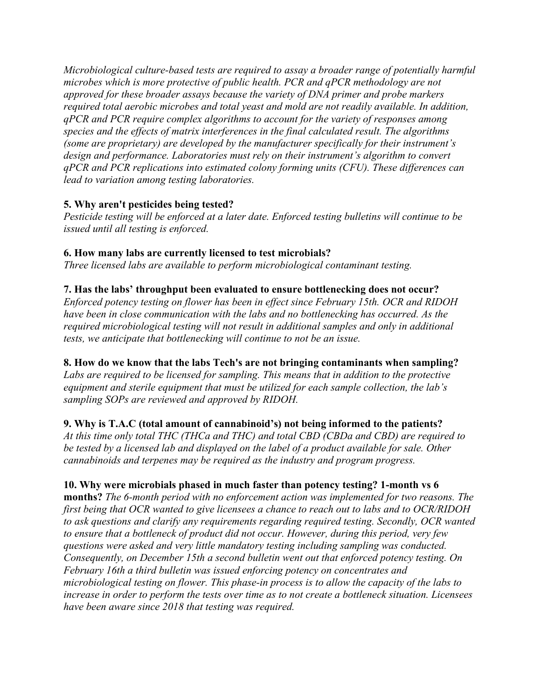*Microbiological culture-based tests are required to assay a broader range of potentially harmful microbes which is more protective of public health. PCR and qPCR methodology are not approved for these broader assays because the variety of DNA primer and probe markers required total aerobic microbes and total yeast and mold are not readily available. In addition, qPCR and PCR require complex algorithms to account for the variety of responses among species and the effects of matrix interferences in the final calculated result. The algorithms (some are proprietary) are developed by the manufacturer specifically for their instrument's design and performance. Laboratories must rely on their instrument's algorithm to convert qPCR and PCR replications into estimated colony forming units (CFU). These differences can lead to variation among testing laboratories.*

### **5. Why aren't pesticides being tested?**

*Pesticide testing will be enforced at a later date. Enforced testing bulletins will continue to be issued until all testing is enforced.*

# **6. How many labs are currently licensed to test microbials?**

*Three licensed labs are available to perform microbiological contaminant testing.*

# **7. Has the labs' throughput been evaluated to ensure bottlenecking does not occur?**

*Enforced potency testing on flower has been in effect since February 15th. OCR and RIDOH have been in close communication with the labs and no bottlenecking has occurred. As the required microbiological testing will not result in additional samples and only in additional tests, we anticipate that bottlenecking will continue to not be an issue.*

# **8. How do we know that the labs Tech's are not bringing contaminants when sampling?**

*Labs are required to be licensed for sampling. This means that in addition to the protective equipment and sterile equipment that must be utilized for each sample collection, the lab's sampling SOPs are reviewed and approved by RIDOH.*

# **9. Why is T.A.C (total amount of cannabinoid's) not being informed to the patients?**

*At this time only total THC (THCa and THC) and total CBD (CBDa and CBD) are required to be tested by a licensed lab and displayed on the label of a product available for sale. Other cannabinoids and terpenes may be required as the industry and program progress.*

# **10. Why were microbials phased in much faster than potency testing? 1-month vs 6**

**months?** *The 6-month period with no enforcement action was implemented for two reasons. The first being that OCR wanted to give licensees a chance to reach out to labs and to OCR/RIDOH to ask questions and clarify any requirements regarding required testing. Secondly, OCR wanted to ensure that a bottleneck of product did not occur. However, during this period, very few questions were asked and very little mandatory testing including sampling was conducted. Consequently, on December 15th a second bulletin went out that enforced potency testing. On February 16th a third bulletin was issued enforcing potency on concentrates and microbiological testing on flower. This phase-in process is to allow the capacity of the labs to increase in order to perform the tests over time as to not create a bottleneck situation. Licensees have been aware since 2018 that testing was required.*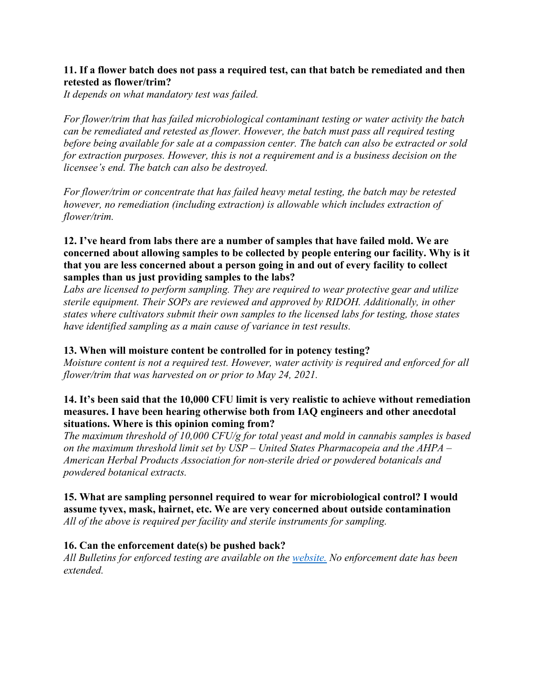#### **11. If a flower batch does not pass a required test, can that batch be remediated and then retested as flower/trim?**

*It depends on what mandatory test was failed.* 

*For flower/trim that has failed microbiological contaminant testing or water activity the batch can be remediated and retested as flower. However, the batch must pass all required testing before being available for sale at a compassion center. The batch can also be extracted or sold for extraction purposes. However, this is not a requirement and is a business decision on the licensee's end. The batch can also be destroyed.*

*For flower/trim or concentrate that has failed heavy metal testing, the batch may be retested however, no remediation (including extraction) is allowable which includes extraction of flower/trim.*

#### **12. I've heard from labs there are a number of samples that have failed mold. We are concerned about allowing samples to be collected by people entering our facility. Why is it that you are less concerned about a person going in and out of every facility to collect samples than us just providing samples to the labs?**

*Labs are licensed to perform sampling. They are required to wear protective gear and utilize sterile equipment. Their SOPs are reviewed and approved by RIDOH. Additionally, in other states where cultivators submit their own samples to the licensed labs for testing, those states have identified sampling as a main cause of variance in test results.*

#### **13. When will moisture content be controlled for in potency testing?**

*Moisture content is not a required test. However, water activity is required and enforced for all flower/trim that was harvested on or prior to May 24, 2021.* 

#### **14. It's been said that the 10,000 CFU limit is very realistic to achieve without remediation measures. I have been hearing otherwise both from IAQ engineers and other anecdotal situations. Where is this opinion coming from?**

*The maximum threshold of 10,000 CFU/g for total yeast and mold in cannabis samples is based on the maximum threshold limit set by USP – United States Pharmacopeia and the AHPA – American Herbal Products Association for non-sterile dried or powdered botanicals and powdered botanical extracts.*

#### **15. What are sampling personnel required to wear for microbiological control? I would assume tyvex, mask, hairnet, etc. We are very concerned about outside contamination**  *All of the above is required per facility and sterile instruments for sampling.*

### **16. Can the enforcement date(s) be pushed back?**

*All Bulletins for enforced testing are available on the [website.](https://dbr.ri.gov/divisions/medicalmarijuana/) No enforcement date has been extended.*